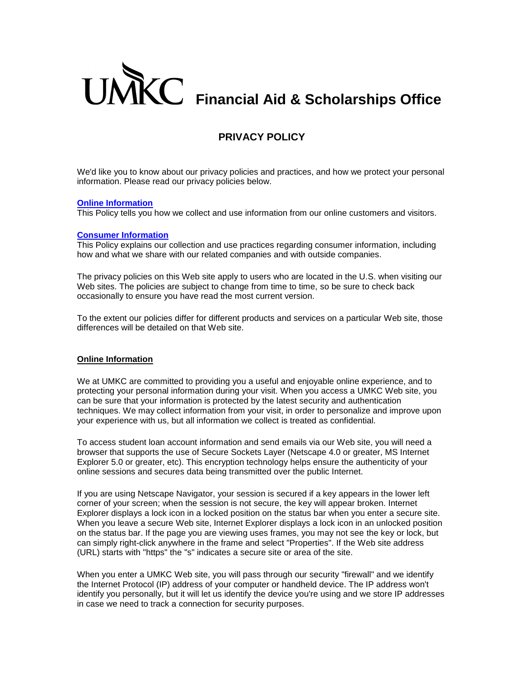

# **PRIVACY POLICY**

We'd like you to know about our privacy policies and practices, and how we protect your personal information. Please read our privacy policies below.

#### **[Online Information](#page-0-0)**

This Policy tells you how we collect and use information from our online customers and visitors.

#### **[Consumer Information](#page-1-0)**

This Policy explains our collection and use practices regarding consumer information, including how and what we share with our related companies and with outside companies.

The privacy policies on this Web site apply to users who are located in the U.S. when visiting our Web sites. The policies are subject to change from time to time, so be sure to check back occasionally to ensure you have read the most current version.

To the extent our policies differ for different products and services on a particular Web site, those differences will be detailed on that Web site.

#### <span id="page-0-0"></span>**Online Information**

We at UMKC are committed to providing you a useful and enjoyable online experience, and to protecting your personal information during your visit. When you access a UMKC Web site, you can be sure that your information is protected by the latest security and authentication techniques. We may collect information from your visit, in order to personalize and improve upon your experience with us, but all information we collect is treated as confidential.

To access student loan account information and send emails via our Web site, you will need a browser that supports the use of Secure Sockets Layer (Netscape 4.0 or greater, MS Internet Explorer 5.0 or greater, etc). This encryption technology helps ensure the authenticity of your online sessions and secures data being transmitted over the public Internet.

If you are using Netscape Navigator, your session is secured if a key appears in the lower left corner of your screen; when the session is not secure, the key will appear broken. Internet Explorer displays a lock icon in a locked position on the status bar when you enter a secure site. When you leave a secure Web site, Internet Explorer displays a lock icon in an unlocked position on the status bar. If the page you are viewing uses frames, you may not see the key or lock, but can simply right-click anywhere in the frame and select "Properties". If the Web site address (URL) starts with "https" the "s" indicates a secure site or area of the site.

When you enter a UMKC Web site, you will pass through our security "firewall" and we identify the Internet Protocol (IP) address of your computer or handheld device. The IP address won't identify you personally, but it will let us identify the device you're using and we store IP addresses in case we need to track a connection for security purposes.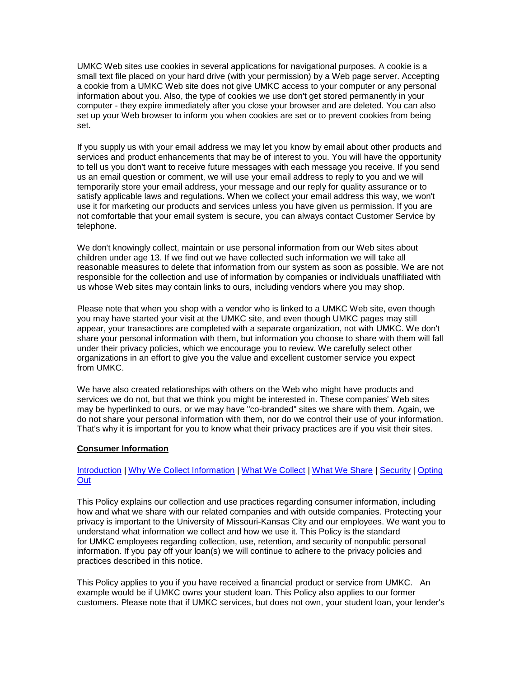UMKC Web sites use cookies in several applications for navigational purposes. A cookie is a small text file placed on your hard drive (with your permission) by a Web page server. Accepting a cookie from a UMKC Web site does not give UMKC access to your computer or any personal information about you. Also, the type of cookies we use don't get stored permanently in your computer - they expire immediately after you close your browser and are deleted. You can also set up your Web browser to inform you when cookies are set or to prevent cookies from being set.

If you supply us with your email address we may let you know by email about other products and services and product enhancements that may be of interest to you. You will have the opportunity to tell us you don't want to receive future messages with each message you receive. If you send us an email question or comment, we will use your email address to reply to you and we will temporarily store your email address, your message and our reply for quality assurance or to satisfy applicable laws and regulations. When we collect your email address this way, we won't use it for marketing our products and services unless you have given us permission. If you are not comfortable that your email system is secure, you can always contact Customer Service by telephone.

We don't knowingly collect, maintain or use personal information from our Web sites about children under age 13. If we find out we have collected such information we will take all reasonable measures to delete that information from our system as soon as possible. We are not responsible for the collection and use of information by companies or individuals unaffiliated with us whose Web sites may contain links to ours, including vendors where you may shop.

Please note that when you shop with a vendor who is linked to a UMKC Web site, even though you may have started your visit at the UMKC site, and even though UMKC pages may still appear, your transactions are completed with a separate organization, not with UMKC. We don't share your personal information with them, but information you choose to share with them will fall under their privacy policies, which we encourage you to review. We carefully select other organizations in an effort to give you the value and excellent customer service you expect from UMKC.

We have also created relationships with others on the Web who might have products and services we do not, but that we think you might be interested in. These companies' Web sites may be hyperlinked to ours, or we may have "co-branded" sites we share with them. Again, we do not share your personal information with them, nor do we control their use of your information. That's why it is important for you to know what their privacy practices are if you visit their sites.

#### <span id="page-1-0"></span>**Consumer Information**

### [Introduction](#page-1-1) | [Why We Collect Information](#page-2-0) | [What We Collect](#page-2-1) | [What We Share](#page-2-2) | [Security](#page-3-0) | [Opting](#page-4-0)  **[Out](#page-4-0)**

<span id="page-1-1"></span>This Policy explains our collection and use practices regarding consumer information, including how and what we share with our related companies and with outside companies. Protecting your privacy is important to the University of Missouri-Kansas City and our employees. We want you to understand what information we collect and how we use it. This Policy is the standard for UMKC employees regarding collection, use, retention, and security of nonpublic personal information. If you pay off your loan(s) we will continue to adhere to the privacy policies and practices described in this notice.

This Policy applies to you if you have received a financial product or service from UMKC. An example would be if UMKC owns your student loan. This Policy also applies to our former customers. Please note that if UMKC services, but does not own, your student loan, your lender's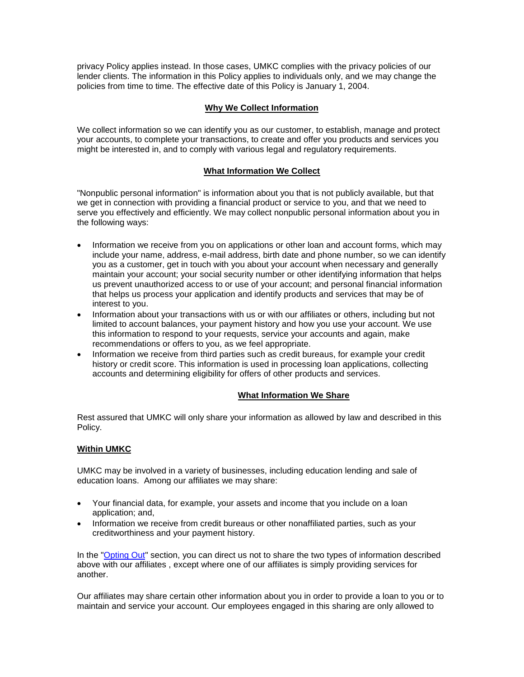privacy Policy applies instead. In those cases, UMKC complies with the privacy policies of our lender clients. The information in this Policy applies to individuals only, and we may change the policies from time to time. The effective date of this Policy is January 1, 2004.

## **Why We Collect Information**

<span id="page-2-0"></span>We collect information so we can identify you as our customer, to establish, manage and protect your accounts, to complete your transactions, to create and offer you products and services you might be interested in, and to comply with various legal and regulatory requirements.

### **What Information We Collect**

<span id="page-2-1"></span>"Nonpublic personal information" is information about you that is not publicly available, but that we get in connection with providing a financial product or service to you, and that we need to serve you effectively and efficiently. We may collect nonpublic personal information about you in the following ways:

- Information we receive from you on applications or other loan and account forms, which may include your name, address, e-mail address, birth date and phone number, so we can identify you as a customer, get in touch with you about your account when necessary and generally maintain your account; your social security number or other identifying information that helps us prevent unauthorized access to or use of your account; and personal financial information that helps us process your application and identify products and services that may be of interest to you.
- Information about your transactions with us or with our affiliates or others, including but not limited to account balances, your payment history and how you use your account. We use this information to respond to your requests, service your accounts and again, make recommendations or offers to you, as we feel appropriate.
- Information we receive from third parties such as credit bureaus, for example your credit history or credit score. This information is used in processing loan applications, collecting accounts and determining eligibility for offers of other products and services.

### <span id="page-2-2"></span>**What Information We Share**

Rest assured that UMKC will only share your information as allowed by law and described in this Policy.

### **Within UMKC**

UMKC may be involved in a variety of businesses, including education lending and sale of education loans. Among our affiliates we may share:

- Your financial data, for example, your assets and income that you include on a loan application; and,
- Information we receive from credit bureaus or other nonaffiliated parties, such as your creditworthiness and your payment history.

In the ["Opting](#page-4-0) Out" section, you can direct us not to share the two types of information described above with our affiliates , except where one of our affiliates is simply providing services for another.

Our affiliates may share certain other information about you in order to provide a loan to you or to maintain and service your account. Our employees engaged in this sharing are only allowed to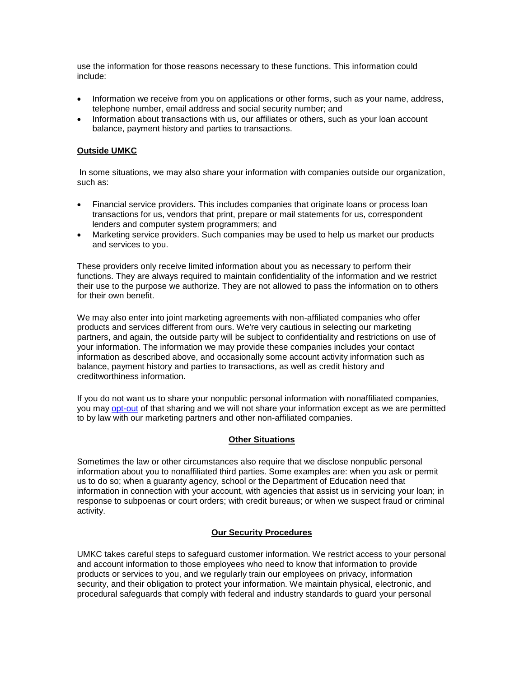use the information for those reasons necessary to these functions. This information could include:

- Information we receive from you on applications or other forms, such as your name, address, telephone number, email address and social security number; and
- Information about transactions with us, our affiliates or others, such as your loan account balance, payment history and parties to transactions.

### **Outside UMKC**

In some situations, we may also share your information with companies outside our organization, such as:

- Financial service providers. This includes companies that originate loans or process loan transactions for us, vendors that print, prepare or mail statements for us, correspondent lenders and computer system programmers; and
- Marketing service providers. Such companies may be used to help us market our products and services to you.

These providers only receive limited information about you as necessary to perform their functions. They are always required to maintain confidentiality of the information and we restrict their use to the purpose we authorize. They are not allowed to pass the information on to others for their own benefit.

We may also enter into joint marketing agreements with non-affiliated companies who offer products and services different from ours. We're very cautious in selecting our marketing partners, and again, the outside party will be subject to confidentiality and restrictions on use of your information. The information we may provide these companies includes your contact information as described above, and occasionally some account activity information such as balance, payment history and parties to transactions, as well as credit history and creditworthiness information.

If you do not want us to share your nonpublic personal information with nonaffiliated companies, you may opt-out of that sharing and we will not share your information except as we are permitted to by law with our marketing partners and other non-affiliated companies.

#### **Other Situations**

Sometimes the law or other circumstances also require that we disclose nonpublic personal information about you to nonaffiliated third parties. Some examples are: when you ask or permit us to do so; when a guaranty agency, school or the Department of Education need that information in connection with your account, with agencies that assist us in servicing your loan; in response to subpoenas or court orders; with credit bureaus; or when we suspect fraud or criminal activity.

#### **Our Security Procedures**

<span id="page-3-0"></span>UMKC takes careful steps to safeguard customer information. We restrict access to your personal and account information to those employees who need to know that information to provide products or services to you, and we regularly train our employees on privacy, information security, and their obligation to protect your information. We maintain physical, electronic, and procedural safeguards that comply with federal and industry standards to guard your personal